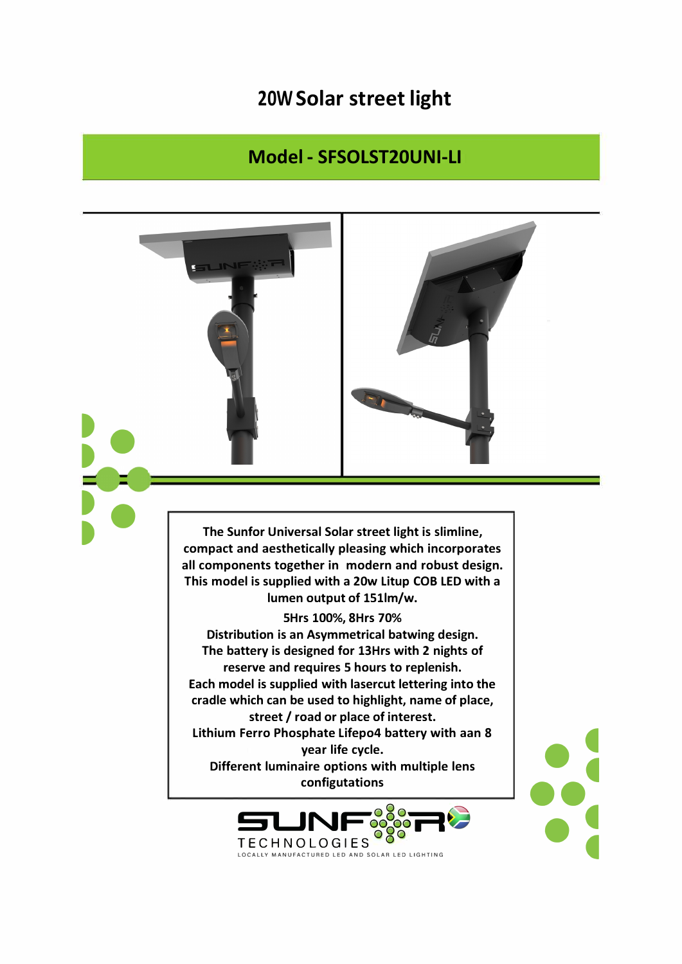## 20W Solar street light

## Model - SFSOLST20UNI-LI



The Sunfor Universal Solar street light is slimline, compact and aesthetically pleasing which incorporates all components together in modern and robust design. This model is supplied with a 20w Litup COB LED with a lumen output of 151lm/w.

5Hrs 100%, 8Hrs 70% Distribution is an Asymmetrical batwing design. The battery is designed for 13Hrs with 2 nights of reserve and requires 5 hours to replenish. Each model is supplied with lasercut lettering into the cradle which can be used to highlight, name of place, street / road or place of interest. Lithium Ferro Phosphate Lifepo4 battery with aan 8 year life cycle. Different luminaire options with multiple lens configutations